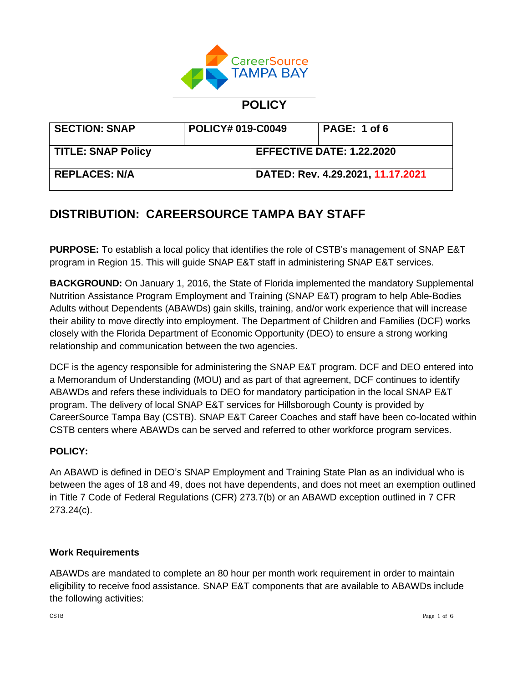

## **POLICY**

| <b>SECTION: SNAP</b>      | <b>POLICY# 019-C0049</b> |                                  | PAGE: 1 of 6                      |
|---------------------------|--------------------------|----------------------------------|-----------------------------------|
| <b>TITLE: SNAP Policy</b> |                          | <b>EFFECTIVE DATE: 1.22.2020</b> |                                   |
| <b>REPLACES: N/A</b>      |                          |                                  | DATED: Rev. 4.29.2021, 11.17.2021 |

# **DISTRIBUTION: CAREERSOURCE TAMPA BAY STAFF**

**PURPOSE:** To establish a local policy that identifies the role of CSTB's management of SNAP E&T program in Region 15. This will guide SNAP E&T staff in administering SNAP E&T services.

**BACKGROUND:** On January 1, 2016, the State of Florida implemented the mandatory Supplemental Nutrition Assistance Program Employment and Training (SNAP E&T) program to help Able-Bodies Adults without Dependents (ABAWDs) gain skills, training, and/or work experience that will increase their ability to move directly into employment. The Department of Children and Families (DCF) works closely with the Florida Department of Economic Opportunity (DEO) to ensure a strong working relationship and communication between the two agencies.

DCF is the agency responsible for administering the SNAP E&T program. DCF and DEO entered into a Memorandum of Understanding (MOU) and as part of that agreement, DCF continues to identify ABAWDs and refers these individuals to DEO for mandatory participation in the local SNAP E&T program. The delivery of local SNAP E&T services for Hillsborough County is provided by CareerSource Tampa Bay (CSTB). SNAP E&T Career Coaches and staff have been co-located within CSTB centers where ABAWDs can be served and referred to other workforce program services.

#### **POLICY:**

An ABAWD is defined in DEO's SNAP Employment and Training State Plan as an individual who is between the ages of 18 and 49, does not have dependents, and does not meet an exemption outlined in Title 7 Code of Federal Regulations (CFR) 273.7(b) or an ABAWD exception outlined in 7 CFR 273.24(c).

#### **Work Requirements**

ABAWDs are mandated to complete an 80 hour per month work requirement in order to maintain eligibility to receive food assistance. SNAP E&T components that are available to ABAWDs include the following activities: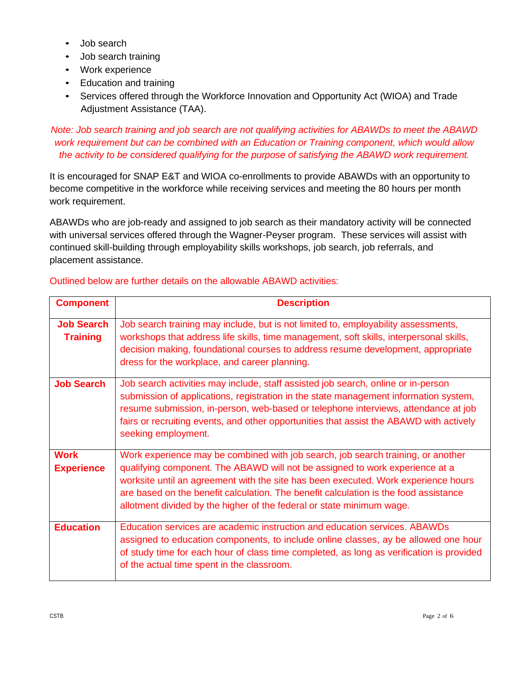- Job search
- Job search training
- Work experience
- Education and training
- Services offered through the Workforce Innovation and Opportunity Act (WIOA) and Trade Adjustment Assistance (TAA).

*Note: Job search training and job search are not qualifying activities for ABAWDs to meet the ABAWD work requirement but can be combined with an Education or Training component, which would allow the activity to be considered qualifying for the purpose of satisfying the ABAWD work requirement.*

It is encouraged for SNAP E&T and WIOA co-enrollments to provide ABAWDs with an opportunity to become competitive in the workforce while receiving services and meeting the 80 hours per month work requirement.

ABAWDs who are job-ready and assigned to job search as their mandatory activity will be connected with universal services offered through the Wagner-Peyser program. These services will assist with continued skill-building through employability skills workshops, job search, job referrals, and placement assistance.

| <b>Component</b>                     | <b>Description</b>                                                                                                                                                                                                                                                                                                                                                                                                      |
|--------------------------------------|-------------------------------------------------------------------------------------------------------------------------------------------------------------------------------------------------------------------------------------------------------------------------------------------------------------------------------------------------------------------------------------------------------------------------|
| <b>Job Search</b><br><b>Training</b> | Job search training may include, but is not limited to, employability assessments,<br>workshops that address life skills, time management, soft skills, interpersonal skills,<br>decision making, foundational courses to address resume development, appropriate<br>dress for the workplace, and career planning.                                                                                                      |
| <b>Job Search</b>                    | Job search activities may include, staff assisted job search, online or in-person<br>submission of applications, registration in the state management information system,<br>resume submission, in-person, web-based or telephone interviews, attendance at job<br>fairs or recruiting events, and other opportunities that assist the ABAWD with actively<br>seeking employment.                                       |
| <b>Work</b><br><b>Experience</b>     | Work experience may be combined with job search, job search training, or another<br>qualifying component. The ABAWD will not be assigned to work experience at a<br>worksite until an agreement with the site has been executed. Work experience hours<br>are based on the benefit calculation. The benefit calculation is the food assistance<br>allotment divided by the higher of the federal or state minimum wage. |
| <b>Education</b>                     | Education services are academic instruction and education services. ABAWDs<br>assigned to education components, to include online classes, ay be allowed one hour<br>of study time for each hour of class time completed, as long as verification is provided<br>of the actual time spent in the classroom.                                                                                                             |

## Outlined below are further details on the allowable ABAWD activities: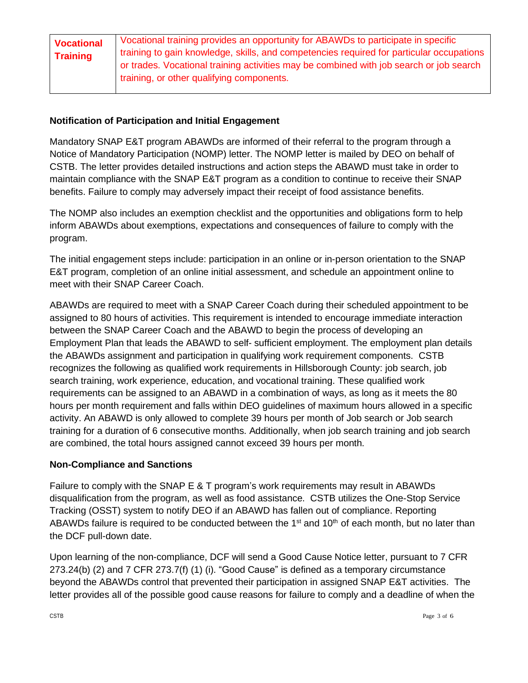| <b>Vocational</b> | Vocational training provides an opportunity for ABAWDs to participate in specific        |
|-------------------|------------------------------------------------------------------------------------------|
| Training          | training to gain knowledge, skills, and competencies required for particular occupations |
|                   | or trades. Vocational training activities may be combined with job search or job search  |
|                   | training, or other qualifying components.                                                |

### **Notification of Participation and Initial Engagement**

Mandatory SNAP E&T program ABAWDs are informed of their referral to the program through a Notice of Mandatory Participation (NOMP) letter. The NOMP letter is mailed by DEO on behalf of CSTB. The letter provides detailed instructions and action steps the ABAWD must take in order to maintain compliance with the SNAP E&T program as a condition to continue to receive their SNAP benefits. Failure to comply may adversely impact their receipt of food assistance benefits.

The NOMP also includes an exemption checklist and the opportunities and obligations form to help inform ABAWDs about exemptions, expectations and consequences of failure to comply with the program.

The initial engagement steps include: participation in an online or in-person orientation to the SNAP E&T program, completion of an online initial assessment, and schedule an appointment online to meet with their SNAP Career Coach.

ABAWDs are required to meet with a SNAP Career Coach during their scheduled appointment to be assigned to 80 hours of activities. This requirement is intended to encourage immediate interaction between the SNAP Career Coach and the ABAWD to begin the process of developing an Employment Plan that leads the ABAWD to self- sufficient employment. The employment plan details the ABAWDs assignment and participation in qualifying work requirement components. CSTB recognizes the following as qualified work requirements in Hillsborough County: job search, job search training, work experience, education, and vocational training. These qualified work requirements can be assigned to an ABAWD in a combination of ways, as long as it meets the 80 hours per month requirement and falls within DEO guidelines of maximum hours allowed in a specific activity. An ABAWD is only allowed to complete 39 hours per month of Job search or Job search training for a duration of 6 consecutive months. Additionally, when job search training and job search are combined, the total hours assigned cannot exceed 39 hours per month.

#### **Non-Compliance and Sanctions**

Failure to comply with the SNAP E & T program's work requirements may result in ABAWDs disqualification from the program, as well as food assistance. CSTB utilizes the One-Stop Service Tracking (OSST) system to notify DEO if an ABAWD has fallen out of compliance. Reporting ABAWDs failure is required to be conducted between the 1<sup>st</sup> and 10<sup>th</sup> of each month, but no later than the DCF pull-down date.

Upon learning of the non-compliance, DCF will send a Good Cause Notice letter, pursuant to 7 CFR 273.24(b) (2) and 7 CFR 273.7(f) (1) (i). "Good Cause" is defined as a temporary circumstance beyond the ABAWDs control that prevented their participation in assigned SNAP E&T activities. The letter provides all of the possible good cause reasons for failure to comply and a deadline of when the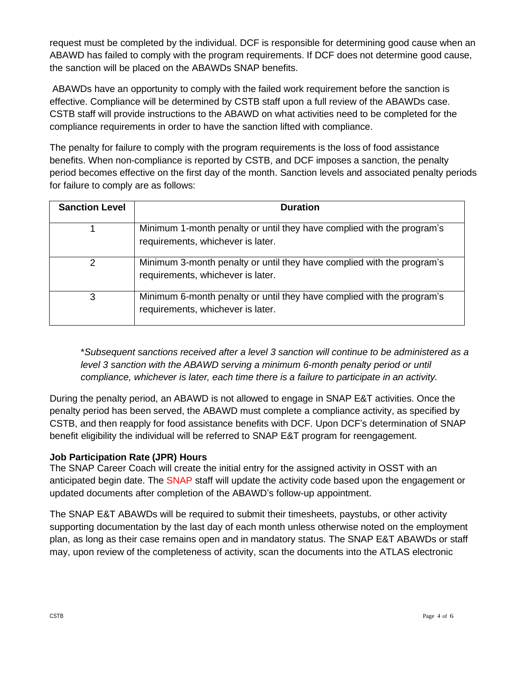request must be completed by the individual. DCF is responsible for determining good cause when an ABAWD has failed to comply with the program requirements. If DCF does not determine good cause, the sanction will be placed on the ABAWDs SNAP benefits.

ABAWDs have an opportunity to comply with the failed work requirement before the sanction is effective. Compliance will be determined by CSTB staff upon a full review of the ABAWDs case. CSTB staff will provide instructions to the ABAWD on what activities need to be completed for the compliance requirements in order to have the sanction lifted with compliance.

The penalty for failure to comply with the program requirements is the loss of food assistance benefits. When non-compliance is reported by CSTB, and DCF imposes a sanction, the penalty period becomes effective on the first day of the month. Sanction levels and associated penalty periods for failure to comply are as follows:

| <b>Sanction Level</b> | <b>Duration</b>                                                                                             |
|-----------------------|-------------------------------------------------------------------------------------------------------------|
|                       | Minimum 1-month penalty or until they have complied with the program's<br>requirements, whichever is later. |
| 2                     | Minimum 3-month penalty or until they have complied with the program's<br>requirements, whichever is later. |
| 3                     | Minimum 6-month penalty or until they have complied with the program's<br>requirements, whichever is later. |

\**Subsequent sanctions received after a level 3 sanction will continue to be administered as a level 3 sanction with the ABAWD serving a minimum 6-month penalty period or until compliance, whichever is later, each time there is a failure to participate in an activity.*

During the penalty period, an ABAWD is not allowed to engage in SNAP E&T activities. Once the penalty period has been served, the ABAWD must complete a compliance activity, as specified by CSTB, and then reapply for food assistance benefits with DCF. Upon DCF's determination of SNAP benefit eligibility the individual will be referred to SNAP E&T program for reengagement.

## **Job Participation Rate (JPR) Hours**

The SNAP Career Coach will create the initial entry for the assigned activity in OSST with an anticipated begin date. The SNAP staff will update the activity code based upon the engagement or updated documents after completion of the ABAWD's follow-up appointment.

The SNAP E&T ABAWDs will be required to submit their timesheets, paystubs, or other activity supporting documentation by the last day of each month unless otherwise noted on the employment plan, as long as their case remains open and in mandatory status. The SNAP E&T ABAWDs or staff may, upon review of the completeness of activity, scan the documents into the ATLAS electronic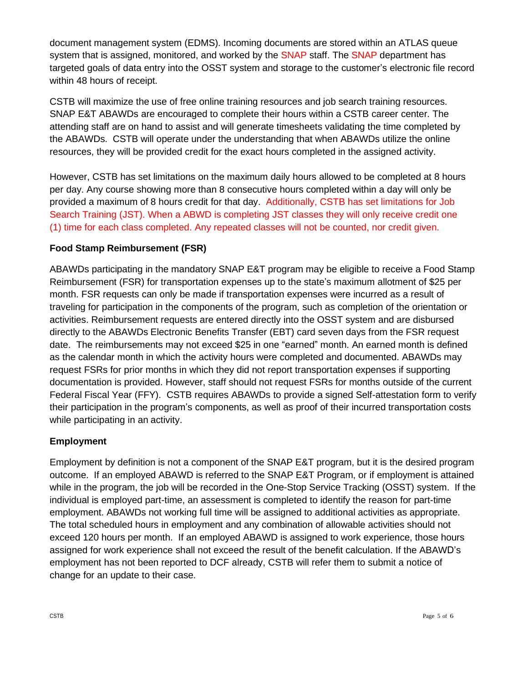document management system (EDMS). Incoming documents are stored within an ATLAS queue system that is assigned, monitored, and worked by the SNAP staff. The SNAP department has targeted goals of data entry into the OSST system and storage to the customer's electronic file record within 48 hours of receipt.

CSTB will maximize the use of free online training resources and job search training resources. SNAP E&T ABAWDs are encouraged to complete their hours within a CSTB career center. The attending staff are on hand to assist and will generate timesheets validating the time completed by the ABAWDs. CSTB will operate under the understanding that when ABAWDs utilize the online resources, they will be provided credit for the exact hours completed in the assigned activity.

However, CSTB has set limitations on the maximum daily hours allowed to be completed at 8 hours per day. Any course showing more than 8 consecutive hours completed within a day will only be provided a maximum of 8 hours credit for that day. Additionally, CSTB has set limitations for Job Search Training (JST). When a ABWD is completing JST classes they will only receive credit one (1) time for each class completed. Any repeated classes will not be counted, nor credit given.

## **Food Stamp Reimbursement (FSR)**

ABAWDs participating in the mandatory SNAP E&T program may be eligible to receive a Food Stamp Reimbursement (FSR) for transportation expenses up to the state's maximum allotment of \$25 per month. FSR requests can only be made if transportation expenses were incurred as a result of traveling for participation in the components of the program, such as completion of the orientation or activities. Reimbursement requests are entered directly into the OSST system and are disbursed directly to the ABAWDs Electronic Benefits Transfer (EBT) card seven days from the FSR request date. The reimbursements may not exceed \$25 in one "earned" month. An earned month is defined as the calendar month in which the activity hours were completed and documented. ABAWDs may request FSRs for prior months in which they did not report transportation expenses if supporting documentation is provided. However, staff should not request FSRs for months outside of the current Federal Fiscal Year (FFY). CSTB requires ABAWDs to provide a signed Self-attestation form to verify their participation in the program's components, as well as proof of their incurred transportation costs while participating in an activity.

## **Employment**

Employment by definition is not a component of the SNAP E&T program, but it is the desired program outcome. If an employed ABAWD is referred to the SNAP E&T Program, or if employment is attained while in the program, the job will be recorded in the One-Stop Service Tracking (OSST) system. If the individual is employed part-time, an assessment is completed to identify the reason for part-time employment. ABAWDs not working full time will be assigned to additional activities as appropriate. The total scheduled hours in employment and any combination of allowable activities should not exceed 120 hours per month. If an employed ABAWD is assigned to work experience, those hours assigned for work experience shall not exceed the result of the benefit calculation. If the ABAWD's employment has not been reported to DCF already, CSTB will refer them to submit a notice of change for an update to their case.